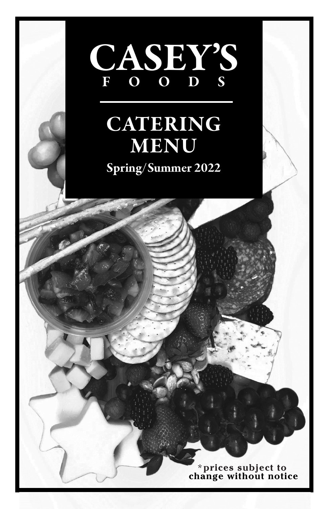

# CATERING MENU **MENU**

*effective November 2021* 2021 -2022 Spring/Summer 2022

\***prices subject to change without notice**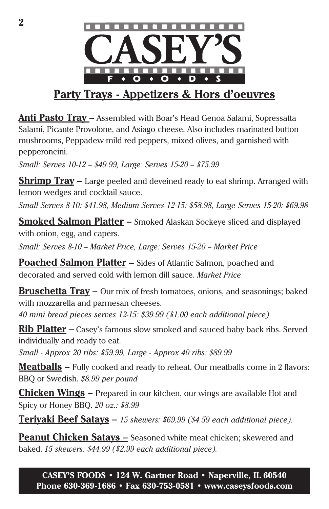

## **Party Trays - Appetizers & Hors d'oeuvres**

**Anti Pasto Tray –** Assembled with Boar's Head Genoa Salami, Sopressatta Salami, Picante Provolone, and Asiago cheese. Also includes marinated button mushrooms, Peppadew mild red peppers, mixed olives, and garnished with pepperoncini.

*Small: Serves 10-12 -- \$49.99, Large: Serves 15-20 -- \$75.99*

**Shrimp Tray –** Large peeled and deveined ready to eat shrimp. Arranged with lemon wedges and cocktail sauce.

*Small Serves 8-10: \$41.98, Medium Serves 12-15: \$58.98, Large Serves 15-20: \$69.98*

**Smoked Salmon Platter –** Smoked Alaskan Sockeye sliced and displayed with onion, egg, and capers.

Small: Serves 8-10 - Market Price, Large: Serves 15-20 - Market Price

**Poached Salmon Platter –** Sides of Atlantic Salmon, poached and decorated and served cold with lemon dill sauce. *Market Price* 

**Bruschetta Tray –** Our mix of fresh tomatoes, onions, and seasonings; baked with mozzarella and parmesan cheeses.

*40 mini bread pieces serves 12-15: \$39.99 (\$1.00 each additional piece)*

**Rib Platter –** Casey's famous slow smoked and sauced baby back ribs. Served individually and ready to eat.

*Small - Approx 20 ribs: \$59.99, Large - Approx 40 ribs: \$89.99*

**Meatballs** – Fully cooked and ready to reheat. Our meatballs come in 2 flavors: BBQ or Swedish. *\$8.99 per pound*

**Chicken Wings –** Prepared in our kitchen, our wings are available Hot and Spicy or Honey BBQ. *20 oz.: \$8.99*

**Teriyaki Beef Satays –** *15 skewers: \$69.99 (\$4.59 each additional piece).* 

**Peanut Chicken Satays –** Seasoned white meat chicken; skewered and baked. *15 skewers: \$44.99 (\$2.99 each additional piece).*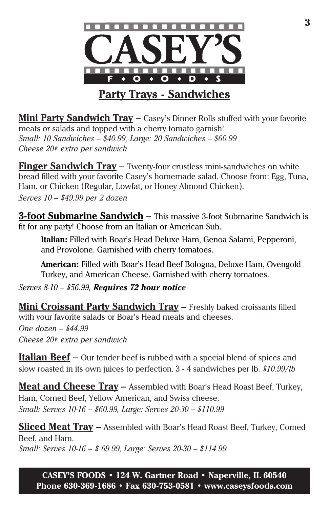

**Mini Party Sandwich Tray – Casey's Dinner Rolls stuffed with your favorite** meats or salads and topped with a cherry tomato garnish! *Small: 10 Sandwiches – \$40.99, Large: 20 Sandwiches – \$60.99 Cheese 20¢ extra per sandwich*

**Finger Sandwich Tray –** Twenty-four crustless mini-sandwiches on white bread filled with your favorite Casey's homemade salad. Choose from: Egg, Tuna, Ham, or Chicken (Regular, Lowfat, or Honey Almond Chicken). *Serves 10 – \$49.99 per 2 dozen* 

**3-foot Submarine Sandwich –** This massive 3-foot Submarine Sandwich is fit for any party! Choose from an Italian or American Sub.

**Italian:** Filled with Boar's Head Deluxe Ham, Genoa Salami, Pepperoni, and Provolone. Garnished with cherry tomatoes.

**American:** Filled with Boar's Head Beef Bologna, Deluxe Ham, Ovengold Turkey, and American Cheese. Garnished with cherry tomatoes.

*Serves 8-10 – \$56.99, Requires 72 hour notice*

**Mini Croissant Party Sandwich Tray –** Freshly baked croissants filled with your favorite salads or Boar's Head meats and cheeses. *One dozen – \$44.99 Cheese 20¢ extra per sandwich*

**Italian Beef –** Our tender beef is rubbed with a special blend of spices and slow roasted in its own juices to perfection. 3 - 4 sandwiches per lb. *\$10.99/lb*

**Meat and Cheese Tray –** Assembled with Boar's Head Roast Beef, Turkey, Ham, Corned Beef, Yellow American, and Swiss cheese. *Small: Serves 10-16 – \$60.99, Large: Serves 20-30 – \$110.99*

**Sliced Meat Tray –** Assembled with Boar's Head Roast Beef, Turkey, Corned Beef, and Ham. *Small: Serves 10-16 – \$ 69.99, Large: Serves 20-30 – \$114.99*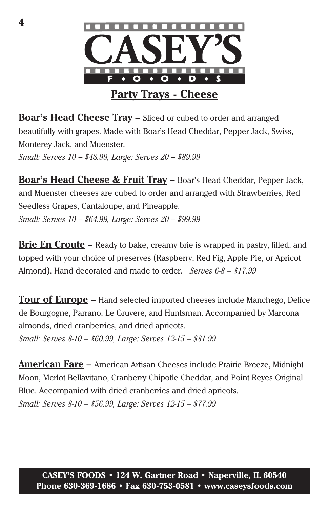

**Boar's Head Cheese Tray –** Sliced or cubed to order and arranged beautifully with grapes. Made with Boar's Head Cheddar, Pepper Jack, Swiss, Monterey Jack, and Muenster. *Small: Serves 10 – \$48.99, Large: Serves 20 – \$89.99*

**Boar's Head Cheese & Fruit Tray –** Boar's Head Cheddar, Pepper Jack, and Muenster cheeses are cubed to order and arranged with Strawberries, Red Seedless Grapes, Cantaloupe, and Pineapple. *Small: Serves 10 – \$64.99, Large: Serves 20 – \$99.99*

**Brie En Croute –** Ready to bake, creamy brie is wrapped in pastry, filled, and topped with your choice of preserves (Raspberry, Red Fig, Apple Pie, or Apricot Almond). Hand decorated and made to order. *Serves 6-8 – \$17.99*

**Tour of Europe –** Hand selected imported cheeses include Manchego, Delice de Bourgogne, Parrano, Le Gruyere, and Huntsman. Accompanied by Marcona almonds, dried cranberries, and dried apricots. *Small: Serves 8-10 – \$60.99, Large: Serves 12-15 – \$81.99*

**American Fare –** American Artisan Cheeses include Prairie Breeze, Midnight Moon, Merlot Bellavitano, Cranberry Chipotle Cheddar, and Point Reyes Original Blue. Accompanied with dried cranberries and dried apricots. *Small: Serves 8-10 – \$56.99, Large: Serves 12-15 – \$77.99*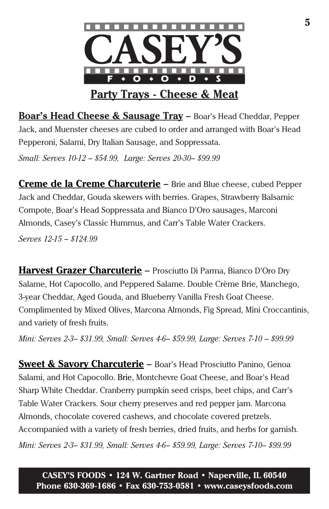

**Boar's Head Cheese & Sausage Tray** *.* **–** Boar's Head Cheddar, Pepper Jack, and Muenster cheeses are cubed to order and arranged with Boar's Head Pepperoni, Salami, Dry Italian Sausage, and Soppressata.

*Small: Serves 10-12 – \$54.99, Large: Serves 20-30– \$99.99*

**Creme de la Creme Charcuterie –** Brie and Blue cheese, cubed Pepper Jack and Cheddar, Gouda skewers with berries. Grapes, Strawberry Balsamic Compote, Boar's Head Soppressata and Bianco D'Oro sausages, Marconi Almonds, Casey's Classic Hummus, and Carr's Table Water Crackers.

*Serves 12-15 – \$124.99* 

**Harvest Grazer Charcuterie –** Prosciutto Di Parma, Bianco D'Oro Dry Salame, Hot Capocollo, and Peppered Salame. Double Crème Brie, Manchego, 3-year Cheddar, Aged Gouda, and Blueberry Vanilla Fresh Goat Cheese. Complimented by Mixed Olives, Marcona Almonds, Fig Spread, Mini Croccantinis, and variety of fresh fruits.

*Mini: Serves 2-3– \$31.99, Small: Serves 4-6– \$59.99, Large: Serves 7-10 – \$99.99*

**Sweet & Savory Charcuterie –** Boar's Head Prosciutto Panino, Genoa Salami, and Hot Capocollo. Brie, Montchevre Goat Cheese, and Boar's Head Sharp White Cheddar. Cranberry pumpkin seed crisps, beet chips, and Carr's Table Water Crackers. Sour cherry preserves and red pepper jam. Marcona Almonds, chocolate covered cashews, and chocolate covered pretzels. Accompanied with a variety of fresh berries, dried fruits, and herbs for garnish. *Mini: Serves 2-3– \$31.99, Small: Serves 4-6– \$59.99, Large: Serves 7-10– \$99.99*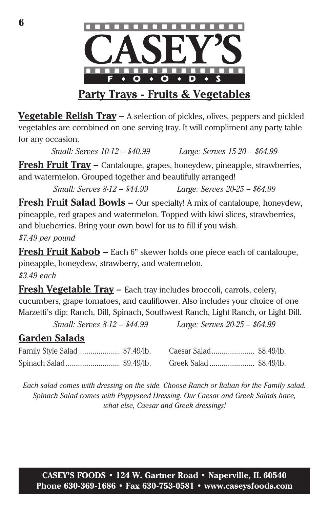

**Vegetable Relish Tray –** A selection of pickles, olives, peppers and pickled vegetables are combined on one serving tray. It will compliment any party table for any occasion.

*Small: Serves 10-12 – \$40.99 Large: Serves 15-20 – \$64.99*

**Fresh Fruit Tray –** Cantaloupe, grapes, honeydew, pineapple, strawberries, and watermelon. Grouped together and beautifully arranged!

*Small: Serves 8-12 – \$44.99 Large: Serves 20-25 – \$64.99*

**Fresh Fruit Salad Bowls –** Our specialty! A mix of cantaloupe, honeydew, pineapple, red grapes and watermelon. Topped with kiwi slices, strawberries, and blueberries. Bring your own bowl for us to fill if you wish.

*\$7.49 per pound*

**Fresh Fruit Kabob –** Each 6" skewer holds one piece each of cantaloupe, pineapple, honeydew, strawberry, and watermelon.

*\$3.49 each*

**Fresh Vegetable Tray –** Each tray includes broccoli, carrots, celery, cucumbers, grape tomatoes, and cauliflower. Also includes your choice of one Marzetti's dip: Ranch, Dill, Spinach, Southwest Ranch, Light Ranch, or Light Dill.

*Small: Serves 8-12 – \$44.99 Large: Serves 20-25 – \$64.99*

### **Garden Salads**

| Family Style Salad  \$7.49/lb. | Caesar Salad \$8.49/lb. |  |
|--------------------------------|-------------------------|--|
|                                |                         |  |

*Each salad comes with dressing on the side. Choose Ranch or Italian for the Family salad. Spinach Salad comes with Poppyseed Dressing. Our Caesar and Greek Salads have, what else, Caesar and Greek dressings!*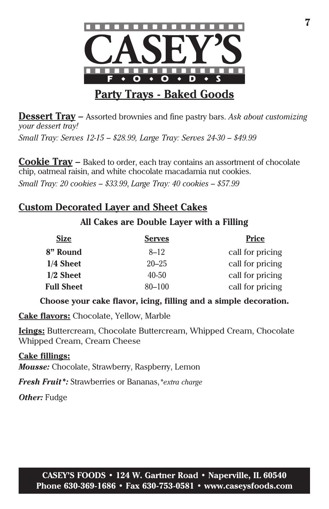

**Dessert Tray –** Assorted brownies and fine pastry bars. *Ask about customizing your dessert tray! Small Tray: Serves 12-15 – \$28.99, Large Tray: Serves 24-30 – \$49.99*

**Cookie Tray –** Baked to order, each tray contains an assortment of chocolate chip, oatmeal raisin, and white chocolate macadamia nut cookies.

*Small Tray: 20 cookies – \$33.99*, *Large Tray: 40 cookies – \$57.99*

#### **Custom Decorated Layer and Sheet Cakes**

#### **All Cakes are Double Layer with a Filling**

| <b>Size</b>       | <b>Serves</b> | <b>Price</b>     |
|-------------------|---------------|------------------|
| 8" Round          | $8 - 12$      | call for pricing |
| 1/4 Sheet         | $20 - 25$     | call for pricing |
| $1/2$ Sheet       | $40 - 50$     | call for pricing |
| <b>Full Sheet</b> | $80 - 100$    | call for pricing |

**Choose your cake flavor, icing, filling and a simple decoration.**

**Cake flavors:** Chocolate, Yellow, Marble

**Icings:** Buttercream, Chocolate Buttercream, Whipped Cream, Chocolate Whipped Cream, Cream Cheese

### **Cake fillings:**

*Mousse:* Chocolate, Strawberry, Raspberry, Lemon

*Fresh Fruit\*:* Strawberries or Bananas,*\*extra charge*

*Other:* Fudge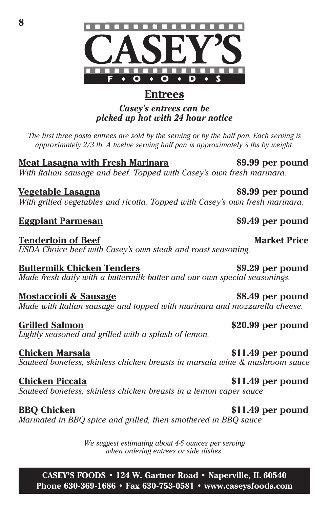*when ordering entrees or side dishes.*

*We suggest estimating about 4-6 ounces per serving* 

**CASEY'S FOODS • 124 W. Gartner Road • Naperville, IL 60540 Phone 630-369-1686 • Fax 630-753-0581 • www.caseysfoods.com**

**Buttermilk Chicken Tenders \$9.29 per pound** *Made fresh daily with a buttermilk batter and our own special seasonings.*

**Mostaccioli & Sausage \$8.49 per pound** *Made with Italian sausage and topped with marinara and mozzarella cheese.*

**Grilled Salmon \$20.99 per pound** *Lightly seasoned and grilled with a splash of lemon.*

**Chicken Marsala \$11.49 per pound** *Sauteed boneless, skinless chicken breasts in marsala wine & mushroom sauce*

**Chicken Piccata \$11.49 per pound**

*Sauteed boneless, skinless chicken breasts in a lemon caper sauce*

*Marinated in BBQ spice and grilled, then smothered in BBQ sauce*

**Tenderloin of Beef Market Price** *USDA Choice beef with Casey's own steak and roast seasoning.*

*With grilled vegetables and ricotta. Topped with Casey's own fresh marinara.*

*approximately 2/3 lb. A twelve serving half pan is approximately 8 lbs by weight.*

**Meat Lasagna with Fresh Marinara \$9.99 per pound** *With Italian sausage and beef. Topped with Casey's own fresh marinara.*

# *Casey's entrees can be*

*picked up hot with 24 hour notice*

*The first three pasta entrees are sold by the serving or by the half pan. Each serving is* 

**Vegetable Lasagna \$8.99 per pound**

**Eggplant Parmesan \$9.49 per pound**



**BBQ Chicken \$11.49 per pound**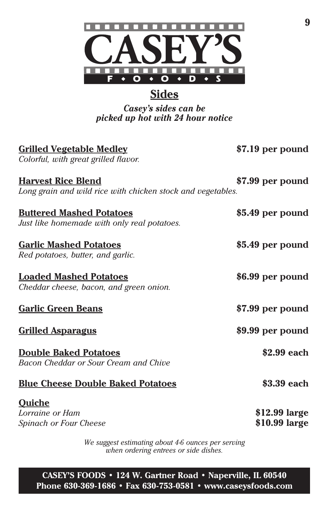

# **Sides**

*Casey's sides can be picked up hot with 24 hour notice*

| <b>Grilled Vegetable Medley</b><br>Colorful, with great grilled flavor.                  | \$7.19 per pound               |
|------------------------------------------------------------------------------------------|--------------------------------|
| <b>Harvest Rice Blend</b><br>Long grain and wild rice with chicken stock and vegetables. | \$7.99 per pound               |
| <b>Buttered Mashed Potatoes</b><br>Just like homemade with only real potatoes.           | \$5.49 per pound               |
| <b>Garlic Mashed Potatoes</b><br>Red potatoes, butter, and garlic.                       | \$5.49 per pound               |
| <b>Loaded Mashed Potatoes</b><br>Cheddar cheese, bacon, and green onion.                 | \$6.99 per pound               |
| <b>Garlic Green Beans</b>                                                                | \$7.99 per pound               |
| <b>Grilled Asparagus</b>                                                                 | \$9.99 per pound               |
| <b>Double Baked Potatoes</b><br>Bacon Cheddar or Sour Cream and Chive                    | \$2.99 each                    |
| <b>Blue Cheese Double Baked Potatoes</b>                                                 | \$3.39 each                    |
| <b>Quiche</b><br>Lorraine or Ham<br>Spinach or Four Cheese                               | \$12.99 large<br>\$10.99 large |

*We suggest estimating about 4-6 ounces per serving when ordering entrees or side dishes.*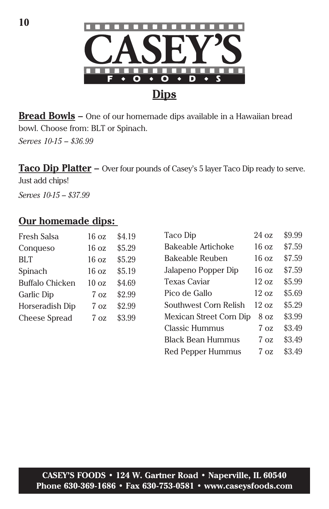**10**



**Bread Bowls –** One of our homemade dips available in a Hawaiian bread bowl. Choose from: BLT or Spinach.

*Serves 10-15 – \$36.99* 

Taco Dip Platter – Over four pounds of Casey's 5 layer Taco Dip ready to serve.

Just add chips!

*Serves 10-15 – \$37.99*

#### **Our homemade dips:**

| Fresh Salsa            | $16 \text{ oz}$  | \$4.19 |
|------------------------|------------------|--------|
| Conqueso               | $16 \text{ oz}$  | \$5.29 |
| <b>BLT</b>             | 16 <sub>oz</sub> | \$5.29 |
| Spinach                | $16 \text{ oz}$  | \$5.19 |
| <b>Buffalo Chicken</b> | $10 \text{ oz}$  | \$4.69 |
| <b>Garlic Dip</b>      | $7 \Omega$       | \$2.99 |
| Horseradish Dip        | $7 \Omega$       | \$2.99 |
| <b>Cheese Spread</b>   | 7 <sub>0z</sub>  | \$3.99 |
|                        |                  |        |

| Taco Dip                | 24 oz           | \$9.99 |
|-------------------------|-----------------|--------|
| Bakeable Artichoke      | $16 \text{ oz}$ | \$7.59 |
| Bakeable Reuben         | $16 \text{ oz}$ | \$7.59 |
| Jalapeno Popper Dip     | $16 \text{ oz}$ | \$7.59 |
| Texas Caviar            | $12 \text{ oz}$ | \$5.99 |
| Pico de Gallo           | $12 \text{ oz}$ | \$5.69 |
| Southwest Corn Relish   | 12 oz           | \$5.29 |
| Mexican Street Corn Dip | 8 oz            | \$3.99 |
| <b>Classic Hummus</b>   | 7 oz            | \$3.49 |
| Black Bean Hummus       | 7 oz            | \$3.49 |
| Red Pepper Hummus       | 7 oz            | \$3.49 |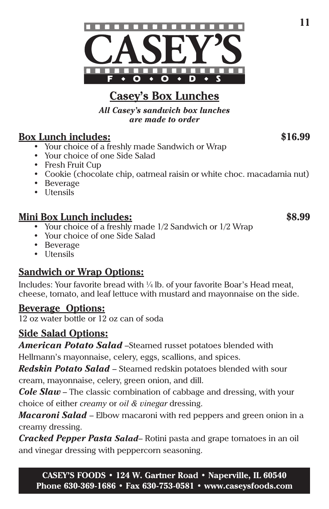



# **Casey's Box Lunches**

*All Casey's sandwich box lunches are made to order* 

#### **Box Lunch includes: \$16.99**

- Your choice of a freshly made Sandwich or Wrap
- Your choice of one Side Salad
- Fresh Fruit Cup
- Cookie (chocolate chip, oatmeal raisin or white choc. macadamia nut)
- Beverage
- Utensils

#### **Mini Box Lunch includes: \$8.99**

- Your choice of a freshly made 1/2 Sandwich or 1/2 Wrap
- Your choice of one Side Salad
- Beverage
- Utensils

### **Sandwich or Wrap Options:**

Includes: Your favorite bread with ¼ lb. of your favorite Boar's Head meat, cheese, tomato, and leaf lettuce with mustard and mayonnaise on the side.

#### **Beverage Options:**

12 oz water bottle or 12 oz can of soda

### **Side Salad Options:**

*American Potato Salad* –Steamed russet potatoes blended with

Hellmann's mayonnaise, celery, eggs, scallions, and spices.

*Redskin Potato Salad* – Steamed redskin potatoes blended with sour cream, mayonnaise, celery, green onion, and dill.

*Cole Slaw* – The classic combination of cabbage and dressing, with your choice of either *creamy* or *oil & vinegar* dressing.

*Macaroni Salad* – Elbow macaroni with red peppers and green onion in a creamy dressing.

*Cracked Pepper Pasta Salad*– Rotini pasta and grape tomatoes in an oil and vinegar dressing with peppercorn seasoning.